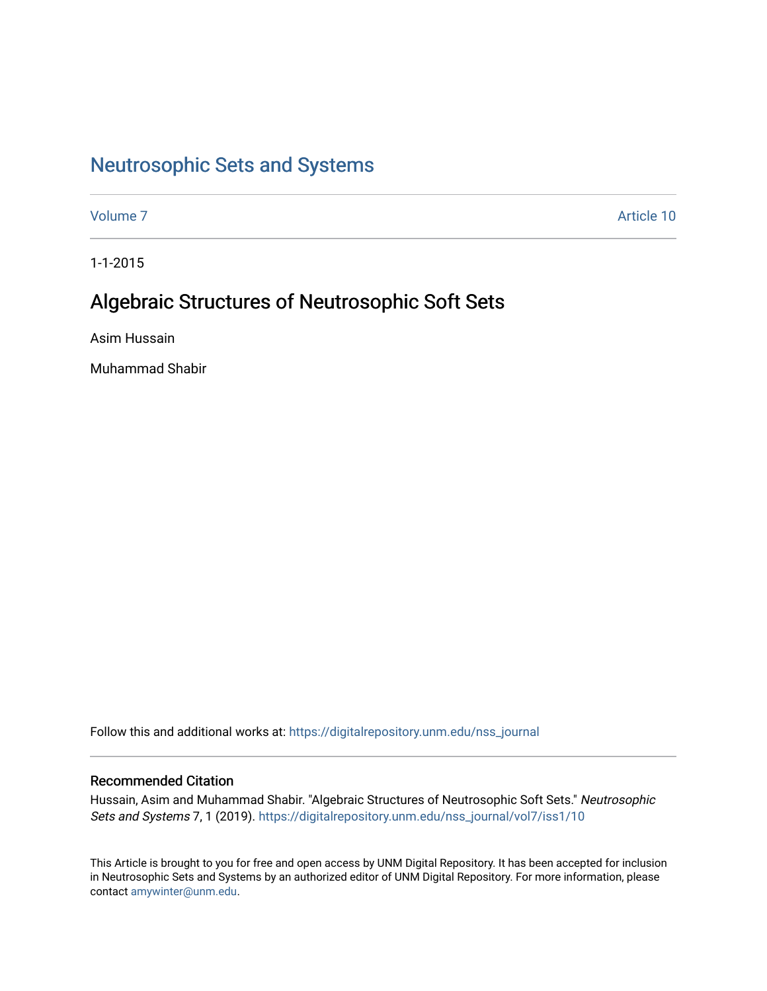# [Neutrosophic Sets and Systems](https://digitalrepository.unm.edu/nss_journal)

[Volume 7](https://digitalrepository.unm.edu/nss_journal/vol7) Article 10

1-1-2015

# Algebraic Structures of Neutrosophic Soft Sets

Asim Hussain

Muhammad Shabir

Follow this and additional works at: [https://digitalrepository.unm.edu/nss\\_journal](https://digitalrepository.unm.edu/nss_journal?utm_source=digitalrepository.unm.edu%2Fnss_journal%2Fvol7%2Fiss1%2F10&utm_medium=PDF&utm_campaign=PDFCoverPages) 

# Recommended Citation

Hussain, Asim and Muhammad Shabir. "Algebraic Structures of Neutrosophic Soft Sets." Neutrosophic Sets and Systems 7, 1 (2019). https://digitalrepository.unm.edu/nss\_journal/vol7/iss1/10

This Article is brought to you for free and open access by UNM Digital Repository. It has been accepted for inclusion in Neutrosophic Sets and Systems by an authorized editor of UNM Digital Repository. For more information, please contact [amywinter@unm.edu](mailto:amywinter@unm.edu).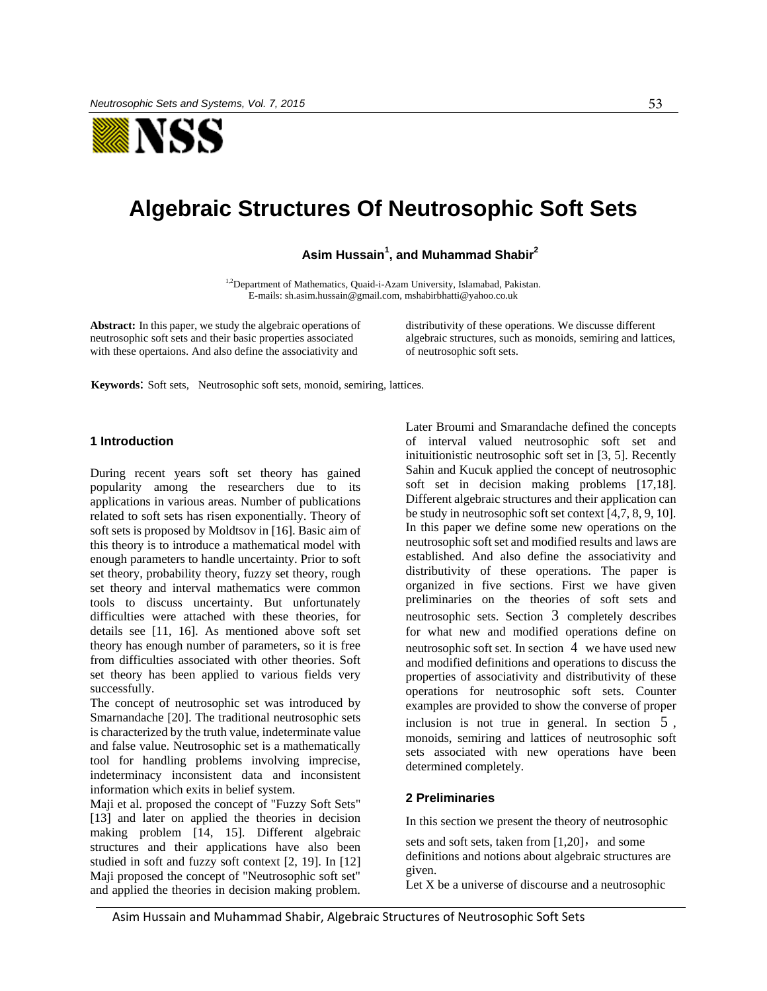

# **Algebraic Structures Of Neutrosophic Soft Sets**

**Asim Hussain<sup>1</sup> , and Muhammad Shabir<sup>2</sup>**

<sup>1,2</sup>Department of Mathematics, Quaid-i-Azam University, Islamabad, Pakistan. E-mails[: sh.asim.hussain@gmail.com,](mailto:sh.asim.hussain@gmail.com) mshabirbhatti@yahoo.co.uk

**Abstract:** In this paper, we study the algebraic operations of neutrosophic soft sets and their basic properties associated with these opertaions. And also define the associativity and

distributivity of these operations. We discusse different algebraic structures, such as monoids, semiring and lattices, of neutrosophic soft sets.

**Keywords**: Soft sets, Neutrosophic soft sets, monoid, semiring, lattices.

## **1 Introduction**

During recent years soft set theory has gained popularity among the researchers due to its applications in various areas. Number of publications related to soft sets has risen exponentially. Theory of soft sets is proposed by Moldtsov in [16]. Basic aim of this theory is to introduce a mathematical model with enough parameters to handle uncertainty. Prior to soft set theory, probability theory, fuzzy set theory, rough set theory and interval mathematics were common tools to discuss uncertainty. But unfortunately difficulties were attached with these theories, for details see [11, 16]. As mentioned above soft set theory has enough number of parameters, so it is free from difficulties associated with other theories. Soft set theory has been applied to various fields very successfully.

The concept of neutrosophic set was introduced by Smarnandache [20]. The traditional neutrosophic sets is characterized by the truth value, indeterminate value and false value. Neutrosophic set is a mathematically tool for handling problems involving imprecise, indeterminacy inconsistent data and inconsistent information which exits in belief system.

Maji et al. proposed the concept of "Fuzzy Soft Sets" [13] and later on applied the theories in decision making problem [14, 15]. Different algebraic structures and their applications have also been studied in soft and fuzzy soft context [2, 19]. In [12] Maji proposed the concept of "Neutrosophic soft set" and applied the theories in decision making problem. Later Broumi and Smarandache defined the concepts of interval valued neutrosophic soft set and inituitionistic neutrosophic soft set in [3, 5]. Recently Sahin and Kucuk applied the concept of neutrosophic soft set in decision making problems [17,18]. Different algebraic structures and their application can be study in neutrosophic soft set context [4,7, 8, 9, 10]. In this paper we define some new operations on the neutrosophic soft set and modified results and laws are established. And also define the associativity and distributivity of these operations. The paper is organized in five sections. First we have given preliminaries on the theories of soft sets and neutrosophic sets. Section 3 completely describes for what new and modified operations define on neutrosophic soft set. In section 4 we have used new and modified definitions and operations to discuss the properties of associativity and distributivity of these operations for neutrosophic soft sets. Counter examples are provided to show the converse of proper inclusion is not true in general. In section 5 , monoids, semiring and lattices of neutrosophic soft sets associated with new operations have been determined completely.

# **2 Preliminaries**

In this section we present the theory of neutrosophic

sets and soft sets, taken from [1,20], and some definitions and notions about algebraic structures are given.

Let X be a universe of discourse and a neutrosophic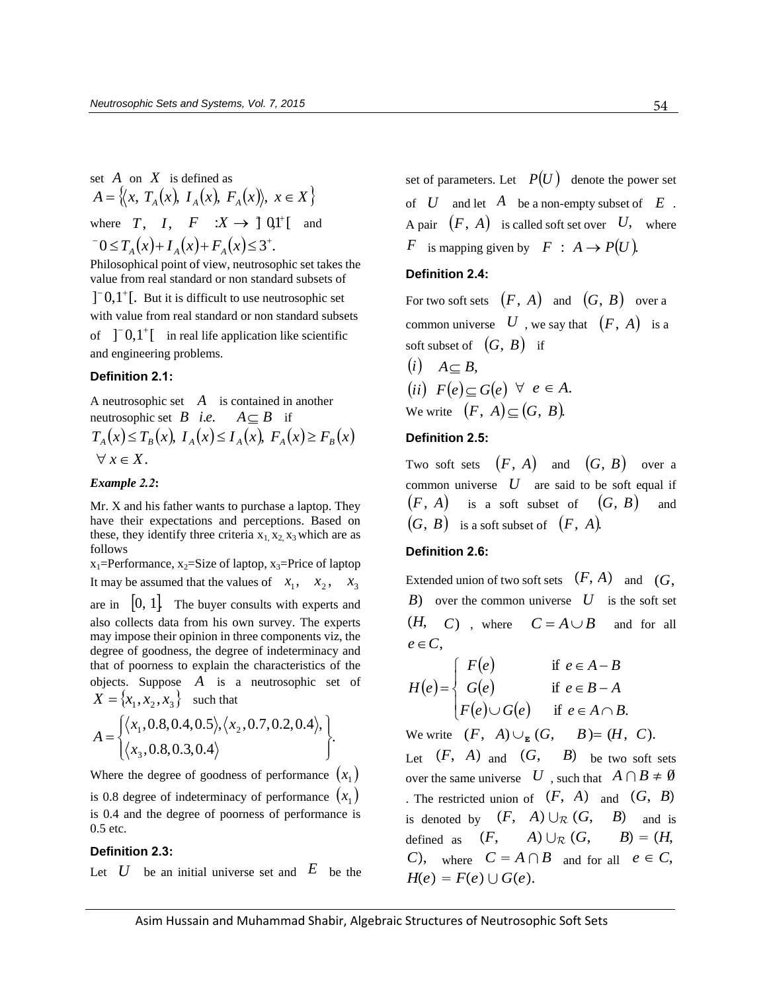set  $A$  on  $X$  is defined as Let *A* on *X* is defined as<br>  $A = \{ (x, T_A(x), I_A(x), F_A(x)), x \in X \}$ where  $T$ ,  $I$ ,  $F : X \to \text{J} \Omega l^+[\text{and}$ <br>  ${}^{-}0 \leq T_A(x) + I_A(x) + F_A(x) \leq 3^+$ .  $T_0 \times T$  (x)  $I(x) + F(x) \times 2^+$  $\leq T_A(x) + I_A(x) + F_A(x) \leq$ Philosophical point of view, neutrosophic set takes the

value from real standard or non standard subsets of

 $]$ <sup>-</sup> 0,1<sup>+</sup>[. But it is difficult to use neutrosophic set with value from real standard or non standard subsets of  $]$ <sup>-</sup> 0,1<sup>+</sup>[ in real life application like scientific

**Definition 2.1:**

and engineering problems.

A neutrosophic set  $A$  is contained in another neutrosophic set  $B$  *i.e.*  $A \subseteq B$  if A neutrosophic set A is contained in another<br>
neutrosophic set B *i.e.*  $A \subseteq B$  if<br>  $T_A(x) \le T_B(x)$ ,  $I_A(x) \le I_A(x)$ ,  $F_A(x) \ge F_B(x)$  $\forall x \in X.$ 

## *Example 2.2***:**

Mr. X and his father wants to purchase a laptop. They have their expectations and perceptions. Based on these, they identify three criteria  $x_1, x_2, x_3$  which are as follows

 $x_1$ =Performance,  $x_2$ =Size of laptop,  $x_3$ =Price of laptop It may be assumed that the values of  $x_1$ ,  $x_2$ ,  $x_3$ are in  $\begin{bmatrix} 0, 1 \end{bmatrix}$ . The buyer consults with experts and also collects data from his own survey. The experts may impose their opinion in three components viz, the degree of goodness, the degree of indeterminacy and that of poorness to explain the characteristics of the objects. Suppose  $A$  is a neutrosophic set of  $X = \{x_1, x_2, x_3\}$  such that

$$
A = \begin{cases} \langle x_1, 0.8, 0.4, 0.5 \rangle, \langle x_2, 0.7, 0.2, 0.4 \rangle, \\ \langle x_3, 0.8, 0.3, 0.4 \rangle \end{cases}.
$$

Where the degree of goodness of performance  $(x_1)$ is 0.8 degree of indeterminacy of performance  $(x_1)$ is 0.4 and the degree of poorness of performance is 0.5 etc.

#### **Definition 2.3:**

Let  $U$  be an initial universe set and  $E$  be the

set of parameters. Let  $P(U)$  denote the power set of  $U$  and let  $A$  be a non-empty subset of  $E$ . A pair  $(F, A)$  is called soft set over U, where *F* is mapping given by  $F : A \rightarrow P(U)$ .

# **Definition 2.4:**

For two soft sets  $(F, A)$  and  $(G, B)$  over a common universe  $U$ , we say that  $(F, A)$  is a soft subset of  $(G, B)$  if

(i) 
$$
A \subseteq B
$$
,  
\n(ii)  $F(e) \subseteq G(e) \ \forall \ e \in A$ .  
\nWe write  $(F, A) \subseteq (G, B)$ .

## **Definition 2.5:**

Two soft sets  $(F, A)$  and  $(G, B)$  over a common universe  $U$  are said to be soft equal if  $(F, A)$  is a soft subset of  $(G, B)$  and  $(G, B)$  is a soft subset of  $(F, A)$ .

# **Definition 2.6:**

Extended union of two soft sets  $(F, A)$  and  $(G, A)$ *B*) over the common universe *U* is the soft set  $(H, C)$ , where  $C = A \cup B$  and for all  $e \in C$ .

$$
e \in C,
$$
  
\n
$$
H(e) = \begin{cases} F(e) & \text{if } e \in A - B \\ G(e) & \text{if } e \in B - A \\ F(e) \cup G(e) & \text{if } e \in A \cap B. \end{cases}
$$

We write  $(F, A) \cup_{E} (G, B) = (H, C).$ Let  $(F, A)$  and  $(G, B)$  be two soft sets over the same universe  $U$ , such that  $A \cap B \neq \emptyset$ . The restricted union of  $(F, A)$  and  $(G, B)$ is denoted by  $(F, A) \cup_{\mathcal{R}} (G, B)$  and is defined as  $(F, A) \cup_{\mathcal{R}} (G, B) = (H,$ *C*), where  $C = A \cap B$  and for all  $e \in C$ ,  $H(e) = F(e) \cup G(e).$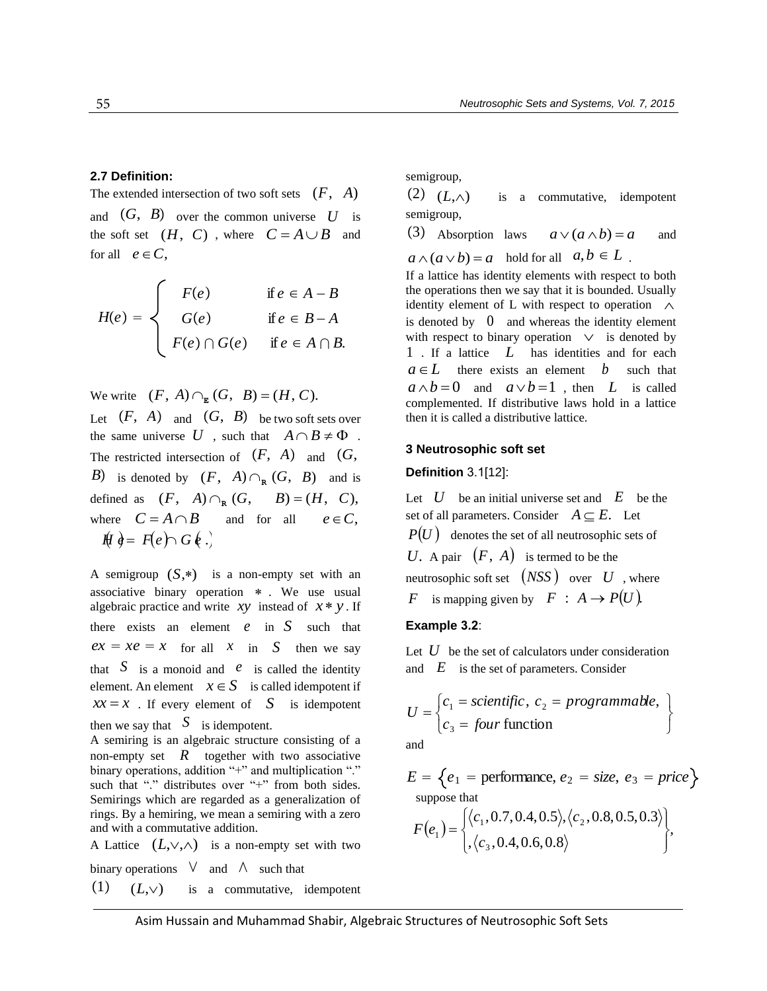## **2.7 Definition:**

The extended intersection of two soft sets  $(F, A)$ 

and  $(G, B)$  over the common universe U is the soft set  $(H, C)$ , where  $C = A \cup B$  and for all  $e \in C$ ,

$$
H(e) = \begin{cases} F(e) & \text{if } e \in A - B \\ G(e) & \text{if } e \in B - A \\ F(e) \cap G(e) & \text{if } e \in A \cap B. \end{cases}
$$

We write  $(F, A) \cap_{E} (G, B) = (H, C).$ 

Let  $(F, A)$  and  $(G, B)$  be two soft sets over the same universe U , such that  $A \cap B \neq \Phi$ . The restricted intersection of  $(F, A)$  and  $(G, A)$ *B*) is denoted by  $(F, A) \cap_{\mathbb{R}} (G, B)$  and is defined as  $(F, A) \cap_{\mathbb{R}} (G, B) = (H, C),$ where  $C = A \cap B$  and for all  $e \in C$ . here  $C = A \cap B$  and for all  $\oint dA = F(e) \cap G(e)$ .

A semigroup  $(S,*)$  is a non-empty set with an associative binary operation . We use usual algebraic practice and write *xy* instead of  $x * y$ . If there exists an element  $e$  in  $S$  such that  $ex = xe = x$  for all  $x$  in  $S$  then we say that  $S$  is a monoid and  $e$  is called the identity element. An element  $x \in S$  is called idempotent if  $xx = x$ . If every element of *S* is idempotent then we say that  $S$  is idempotent.

A semiring is an algebraic structure consisting of a non-empty set  $\overline{R}$  together with two associative binary operations, addition "+" and multiplication "." such that "." distributes over "+" from both sides. Semirings which are regarded as a generalization of rings. By a hemiring, we mean a semiring with a zero and with a commutative addition.

A Lattice  $(L, \vee, \wedge)$  is a non-empty set with two binary operations  $\vee$  and  $\wedge$  such that  $(1)$   $(L,\vee)$ is a commutative, idempotent

semigroup,

 $(2)$   $(L,\wedge)$ is a commutative, idempotent semigroup,

3 Absorption laws  $a \vee (a \wedge b) = a$ and

 $a \wedge (a \vee b) = a$  hold for all  $a, b \in L$ .

If a lattice has identity elements with respect to both the operations then we say that it is bounded. Usually identity element of L with respect to operation  $\Lambda$ is denoted by 0 and whereas the identity element with respect to binary operation  $\vee$  is denoted by 1 . If a lattice *L* has identities and for each  $a \in L$  there exists an element b such that  $a \wedge b = 0$  and  $a \vee b = 1$ , then *L* is called complemented. If distributive laws hold in a lattice then it is called a distributive lattice.

#### **3 Neutrosophic soft set**

#### **Definition** 3.1[12]:

Let  $U$  be an initial universe set and  $E$  be the set of all parameters. Consider  $A \subseteq E$ . Let  $P(U)$  denotes the set of all neutrosophic sets of U. A pair  $(F, A)$  is termed to be the neutrosophic soft set  $(NSS)$  over  $U$  , where *F* is mapping given by  $\overrightarrow{F}$  :  $A \rightarrow P(U)$ .

# **Example 3.2**:

Let  $U$  be the set of calculators under consideration and  $E$  is the set of parameters. Consider

$$
U = \begin{cases} c_1 = scientific, & c_2 = programmable, \\ c_3 = four function \end{cases}
$$

and

$$
E = \left\{ e_1 = \text{performance}, e_2 = \text{size}, e_3 = \text{price} \right\}
$$
\n
$$
\text{suppose that} \quad \left( \frac{1}{2} \cdot 2.7 \cdot 2.4 \cdot 2.5 \cdot \left( \frac{1}{2} \cdot 2.8 \cdot 2.5 \cdot 2.2 \right) \right)
$$

suppose that  
\n
$$
F(e_1) = \begin{cases} \langle c_1, 0.7, 0.4, 0.5 \rangle, \langle c_2, 0.8, 0.5, 0.3 \rangle \\ , \langle c_3, 0.4, 0.6, 0.8 \rangle \end{cases},
$$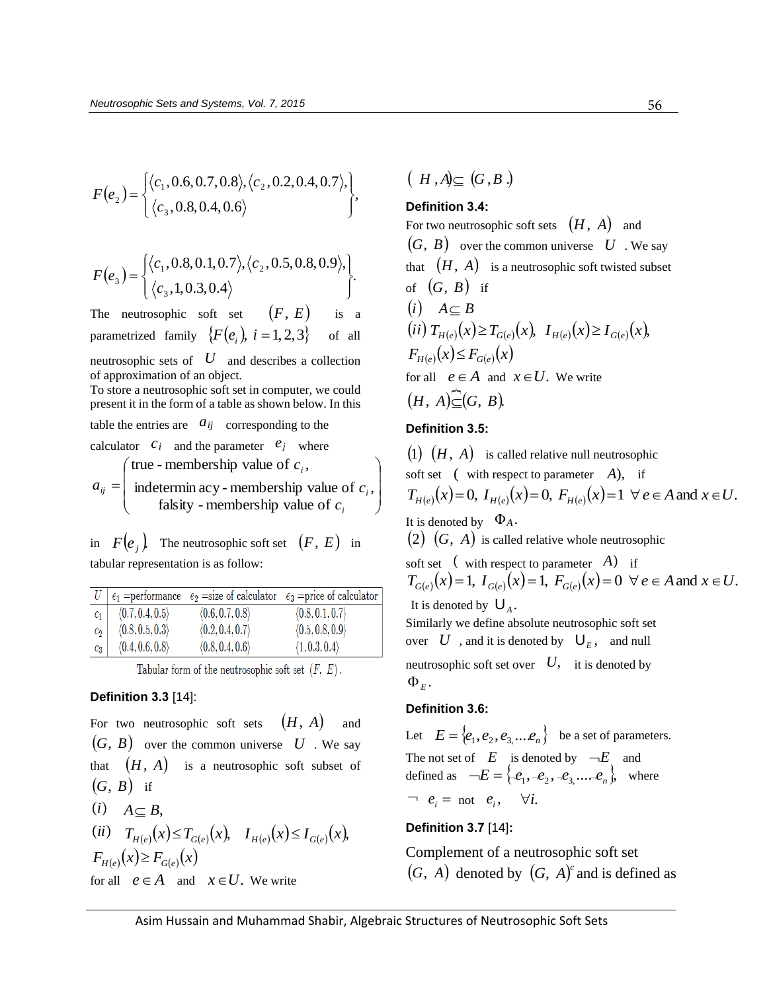$$
F(e_2) = \begin{cases} \langle c_1, 0.6, 0.7, 0.8 \rangle, \langle c_2, 0.2, 0.4, 0.7 \rangle, \\ \langle c_3, 0.8, 0.4, 0.6 \rangle \end{cases},
$$

$$
F(e_3) = \begin{cases} \langle c_1, 0.8, 0.1, 0.7 \rangle, \langle c_2, 0.5, 0.8, 0.9 \rangle, \\ \langle c_3, 1, 0.3, 0.4 \rangle \end{cases}.
$$

The neutrosophic soft set  $(F, E)$ is a parametrized family  $\{F(e_i), i = 1, 2, 3\}$ of all neutrosophic sets of *U* and describes a collection

of approximation of an object. To store a neutrosophic soft set in computer, we could

present it in the form of a table as shown below. In this

table the entries are  $a_{ij}$  corresponding to the

- calculator  $c_i$  and the parameter  $e_j$  where  $\mathsf{I}$ ſ *i c* true - membership value of  $c_i$ ,
- $\overline{\phantom{a}}$  $\overline{\phantom{a}}$ J  $\overline{\phantom{a}}$  $\setminus$  $=$ *i i ij c c a* falsity - membership value of indetermin acy - membership value of  $c_i$ ,

in  $F(e_j)$  The neutrosophic soft set  $(F, E)$  in tabular representation is as follow:

|       |                 |                 | $e_1$ =performance $e_2$ =size of calculator $e_3$ =price of calculator |
|-------|-----------------|-----------------|-------------------------------------------------------------------------|
| $c_1$ | (0.7, 0.4, 0.5) | (0.6, 0.7, 0.8) | $\langle 0.8, 0.1, 0.7 \rangle$                                         |
| $c_2$ | (0.8, 0.5, 0.3) | (0.2, 0.4, 0.7) | $\langle 0.5, 0.8, 0.9 \rangle$                                         |
| $c_3$ | (0.4, 0.6, 0.8) | (0.8, 0.4, 0.6) | (1, 0.3, 0.4)                                                           |

Tabular form of the neutrosophic soft set  $(F, E)$ .

## **Definition 3.3** [14]:

For two neutrosophic soft sets  $(H, A)$  and  $(G, B)$  over the common universe U . We say that  $(H, A)$  is a neutrosophic soft subset of  $(G, B)$  if  $(i)$   $A \subset B$ ,

(ii) 
$$
T_{H(e)}(x) \leq T_{G(e)}(x)
$$
,  $I_{H(e)}(x) \leq I_{G(e)}(x)$ ,  
\n $F_{H(e)}(x) \geq F_{G(e)}(x)$ 

for all  $e \in A$  and  $x \in U$ . We write

$$
(H,A)\subseteq (G,B.)
$$

# **Definition 3.4:**

For two neutrosophic soft sets  $(H, A)$  and  $(G, B)$  over the common universe  $U$ . We say that  $(H, A)$  is a neutrosophic soft twisted subset of  $(G, B)$  if  $(i)$   $A \subset B$  $\overline{f}(ii) T_{H(e)}(x) \ge T_{G(e)}(x), \quad I_{H(e)}(x) \ge I_{G(e)}(x),$  $F_{H(e)}(x) \leq F_{G(e)}(x)$ for all  $e \in A$  and  $x \in U$ . We write  $(H, A) \in (G, B)$ .

## **Definition 3.5:**

 $\backslash$ 

 $(1)$   $(H, A)$  is called relative null neutrosophic soft set ( with respect to parameter A), if (1)  $(H, A)$  is called relative null neutrosophic<br>soft set ( with respect to parameter A), if<br> $T_{H(e)}(x)=0$ ,  $I_{H(e)}(x)=0$ ,  $F_{H(e)}(x)=1 \ \forall e \in A$  and  $x \in U$ . It is denoted by  $\Phi_A$ .  $(2)$   $(G, A)$  is called relative whole neutrosophic soft set  $\left(\begin{array}{cc} \text{with respect to parameter} \\ 0 \end{array} A\right)$  if (2)  $(G, A)$  is called relative whole neutrosophic<br>
soft set  $($  with respect to parameter  $(A)$  if<br>  $T_{G(e)}(x) = 1$ ,  $I_{G(e)}(x) = 1$ ,  $F_{G(e)}(x) = 0 \forall e \in A$  and  $x \in U$ . It is denoted by  $\bigcup_{A}$ . Similarly we define absolute neutrosophic soft set over  $U$ , and it is denoted by  $\bigcup_{E}$ , and null neutrosophic soft set over  $\left|U,\right\rangle$  it is denoted by  $\Phi_{E}$ .

# **Definition 3.6:**

Let  $E = \{e_1, e_2, e_3, \dots e_n\}$  be a set of parameters. The not set of  $E$  is denoted by  $\neg E$  and defined as  $\neg E = \{e_1, \neg e_2, \neg e_3, \dots \neg e_n\}$ , where  $\neg e_i = \text{not } e_i, \quad \forall i.$ 

# **Definition 3.7** [14]**:**

Complement of a neutrosophic soft set  $(G, A)$  denoted by  $(G, A)^c$  and is defined as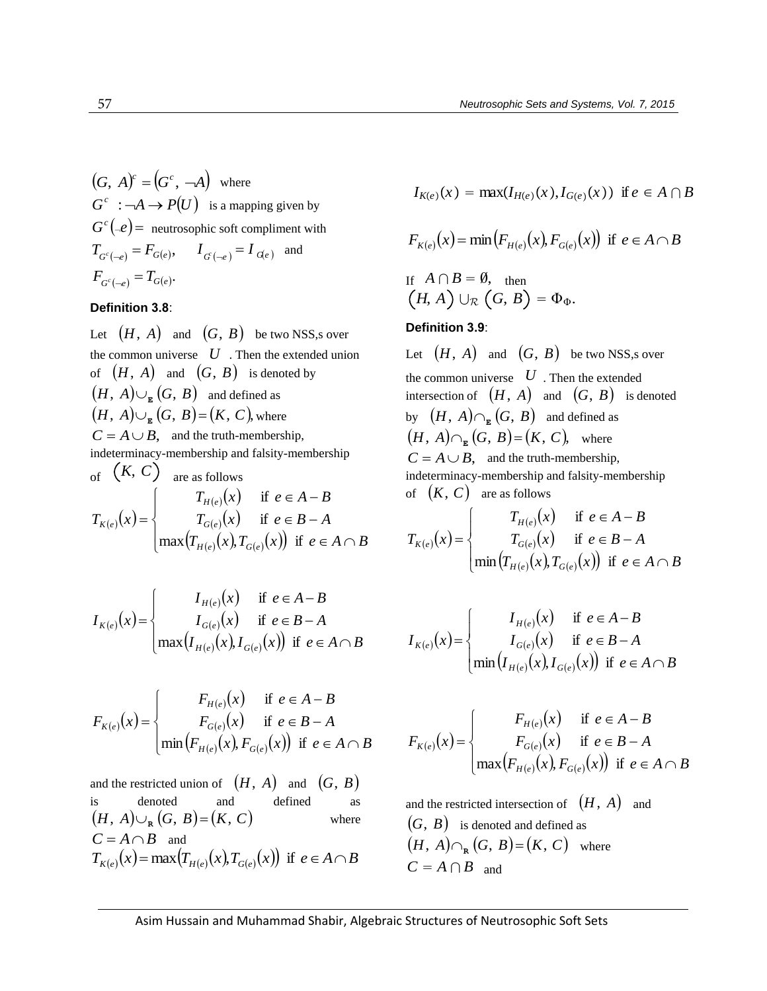$$
(G, A)^c = (G^c, -A) \text{ where}
$$
  
\n
$$
G^c : \neg A \rightarrow P(U) \text{ is a mapping given by}
$$
  
\n
$$
G^c(-e) = \text{ neutrosophic soft complement with}
$$
  
\n
$$
T_{G^c(-e)} = F_{G(e)}, \qquad I_{G(-e)} = I_{G(e)} \text{ and}
$$
  
\n
$$
F_{G^c(-e)} = T_{G(e)}.
$$

#### **Definition 3.8**:

(G, A) = (G', --A) where<br>  $G'$ ,  $G = -A \rightarrow P(U)$  is a mapping given by<br>  $G'_{K(\epsilon)}(x) = \max(I_{H(\epsilon)}, (x), I_{G(\epsilon)}, (x), I_{G(\epsilon)})$ <br>  $I_{G'(\epsilon)} = I_{G(\epsilon)}, I_{G(\epsilon)}, I_{G(\epsilon)}, I_{G(\epsilon)}, I_{G(\epsilon)}, I_{G(\epsilon)}, I_{G(\epsilon)}, I_{G(\epsilon)}, I_{G(\epsilon)}, I_{G(\epsilon)}, I_{G(\epsilon)}, I_{G(\epsilon)}, I_{G(\epsilon)}, I_{G(\epsilon)}, I_{G(\epsilon)}, I_{G(\epsilon)}, I_{G(\epsilon)}, I_{$ Let  $(H, A)$  and  $(G, B)$  be two NSS,s over the common universe  $U$ . Then the extended union of  $(H, A)$  and  $(G, B)$  is denoted by  $(H, A) \cup_{\mathbb{E}} (G, B)$  and defined as  $(H, A) \cup_{\mathbb{E}} (G, B)$  and defined as<br>  $(H, A) \cup_{\mathbb{E}} (G, B) = (K, C)$ , where  $C = A \cup B$ , and the truth-membership, indeterminacy-membership and falsity-membership of  $(K, C)$  are as follows<br>  $T_{K(e)}(x) =\begin{cases} T_{H(e)}(x) \\ T_{G(e)}(x) \end{cases}$ hip and talsity-m<br>
ollows<br>  $(e)$  (x) if  $e \in E$ ollows<br>  $(e)(x)$  if  $e \in$ <br>  $(e)(x)$  if  $e \in$  $T_{H(e)}(x)$  if  $e \in A - B$ <br>  $T_{G(e)}(x)$  if  $e \in B - A$ <br>  $(T_{H(e)}(x), T_{G(e)}(x))$  if  $e \in A$  $\overline{ }$  $\overline{\mathcal{L}}$  $\overline{ }$ ┤  $\int$  $\in A \cap$  $\in B$  - $\in A$  - $=$  $T_{H(e)}(x)$ ,  $T_{G(e)}(x)$  if  $e \in A \cap B$  $T_{G(e)}(x)$  if  $e \in B-A$  $T_{H(e)}(x)$  if  $e \in A - B$  $T_{K(\rho)}(x)$ *eG eH eK*  $\max(T_{H(e)}(x), T_{G(e)}(x))$  if if if

$$
I_{K(e)}(x) = \begin{cases} I_{H(e)}(x) & \text{if } e \in A - B \\ I_{G(e)}(x) & \text{if } e \in B - A \\ \max(I_{H(e)}(x), I_{G(e)}(x)) & \text{if } e \in A \cap B \end{cases}
$$

 $H(e)$   $\vee$  b  $\cdot$   $G(e)$ 

$$
F_{K(e)}(x) = \begin{cases} F_{H(e)}(x) & \text{if } e \in A - B \\ F_{G(e)}(x) & \text{if } e \in B - A \\ \min(F_{H(e)}(x), F_{G(e)}(x)) & \text{if } e \in A \cap B \end{cases}
$$

and the restricted union of  $(H, A)$  and  $(G, B)$ is denoted and defined as  $(H, A) \cup_{R} (G, B) = (K, C)$ where  $C = A \cap B$  and  $(H, A) \cup_{\mathbf{R}} (G, B) = (K, C)$  where<br>  $C = A \cap B$  and<br>  $T_{K(e)}(x) = \max(T_{H(e)}(x), T_{G(e)}(x))$  if  $e \in A \cap B$ 

$$
I_{K(e)}(x) = \max(I_{H(e)}(x), I_{G(e)}(x))
$$
 if  $e \in A \cap B$ 

$$
I_{K(e)}(x) = \max(I_{H(e)}(x), I_{G(e)}(x)) \text{ if } e \in A \cap B
$$
  

$$
F_{K(e)}(x) = \min(F_{H(e)}(x), F_{G(e)}(x)) \text{ if } e \in A \cap B
$$

If 
$$
A \cap B = \emptyset
$$
, then  
\n $(H, A) \cup_{\mathcal{R}} (G, B) = \Phi_{\Phi}$ .

## **Definition 3.9**:

Let  $(H, A)$  and  $(G, B)$  be two NSS,s over the common universe  $U$ . Then the extended intersection of  $(H, A)$  and  $(G, B)$  is denoted by  $(H, A) \cap_{\mathbb{E}} (G, B)$  and defined as by  $(H, A) \cap_{\mathbb{E}} (G, B)$  and defined as <br> $(H, A) \cap_{\mathbb{E}} (G, B) = (K, C)$ , where  $C = A \cup B$ , and the truth-membership, indeterminacy-membership and falsity-membership<br>of  $(K, C)$  are as follows<br> $T_{H(e)}(x)$  if  $e \in A - B$ 

of 
$$
(K, C)
$$
 are as follows  
\n
$$
T_{K(e)}(x) = \begin{cases} T_{H(e)}(x) & \text{if } e \in A - B \\ T_{G(e)}(x) & \text{if } e \in B - A \\ \min (T_{H(e)}(x), T_{G(e)}(x)) & \text{if } e \in A \cap B \end{cases}
$$

$$
I_{K(e)}(x) = \begin{cases} I_{H(e)}(x) & \text{if } e \in A - B \\ I_{G(e)}(x) & \text{if } e \in B - A \\ \min(I_{H(e)}(x), I_{G(e)}(x)) & \text{if } e \in A \cap B \end{cases}
$$

$$
F_{K(e)}(x) = \begin{cases} F_{H(e)}(x) & \text{if } e \in A - B \\ F_{G(e)}(x) & \text{if } e \in B - A \\ \max(F_{H(e)}(x), F_{G(e)}(x)) & \text{if } e \in A \cap B \end{cases}
$$

and the restricted intersection of  $(H, A)$  and  $(G, B)$  is denoted and defined as  $(H, A) \cap_{\mathbb{R}} (G, B) = (K, C)$  where  $C = A \cap B$  and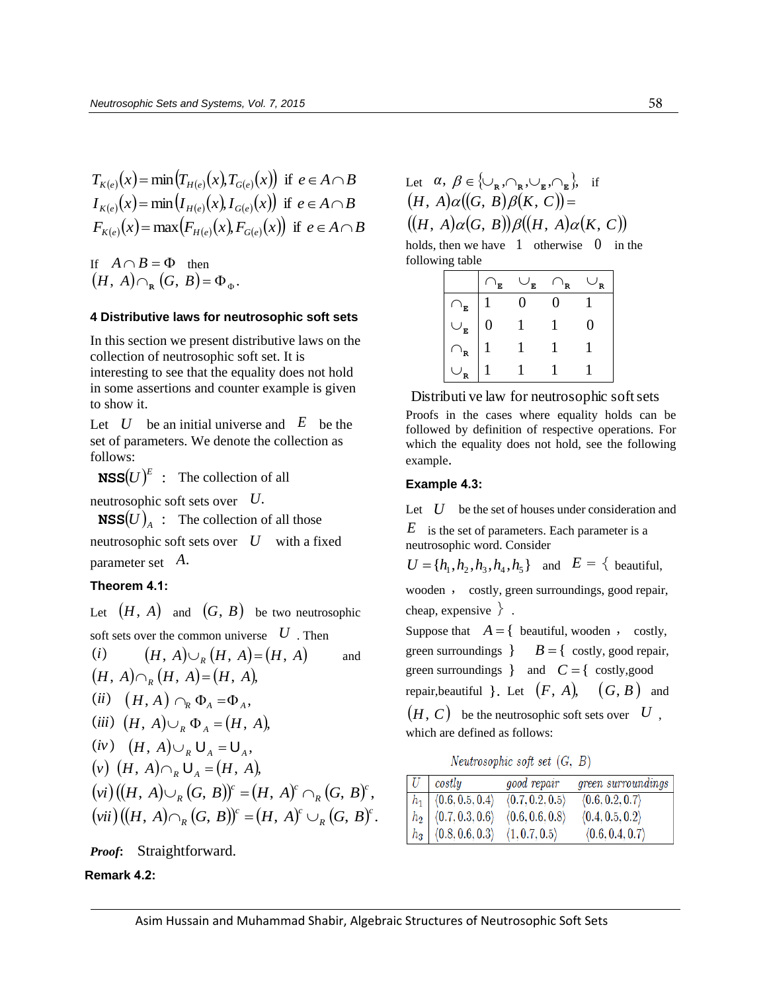$$
T_{K(e)}(x) = \min(T_{H(e)}(x), T_{G(e)}(x)) \text{ if } e \in A \cap B
$$
  
\n
$$
I_{K(e)}(x) = \min(I_{H(e)}(x), I_{G(e)}(x)) \text{ if } e \in A \cap B
$$
  
\n
$$
F_{K(e)}(x) = \max(F_{H(e)}(x), F_{G(e)}(x)) \text{ if } e \in A \cap B
$$

If  $A \cap B = \Phi$  then  $(H, A) \cap_{\mathbb{R}} (G, B) = \Phi_{\Phi}.$ 

## **4 Distributive laws for neutrosophic soft sets**

In this section we present distributive laws on the collection of neutrosophic soft set. It is interesting to see that the equality does not hold in some assertions and counter example is given to show it.

Let  $U$  be an initial universe and  $E$  be the set of parameters. We denote the collection as follows:

**NSS** $(U)^E$  : The collection of all

neutrosophic soft sets over *U*.

**NSS** $(U)_A$ : The collection of all those neutrosophic soft sets over *U* with a fixed parameter set *A*.

# **Theorem 4.1:**

Let  $(H, A)$  and  $(G, B)$  be two neutrosophic

soft sets over the common universe 
$$
U
$$
. Then  
\n(i)  $(H, A) \cup_R (H, A) = (H, A)$  and green  
\n $(H, A) \cap_R (H, A) = (H, A)$ ,  
\n(ii)  $(H, A) \cap_R \Phi_A = \Phi_A$ ,  
\n(iii)  $(H, A) \cup_R \Phi_A = (H, A)$ ,  
\n(iv)  $(H, A) \cup_R \Psi_A = (H, A)$ ,  
\n(v)  $(H, A) \cap_R U_A = U_A$ ,  
\n(v)  $(H, A) \cap_R U_A = (H, A)$ ,  
\n(vi)  $((H, A) \cup_R (G, B))^c = (H, A)^c \cap_R (G, B)^c$ ,  
\n(vii)  $((H, A) \cap_R (G, B))^c = (H, A)^c \cup_R (G, B)^c$ .

*Proof***:** Straightforward.

# **Remark 4.2:**

| Let $\alpha, \beta \in \{\cup_{\mathbf{R}}, \cap_{\mathbf{R}}, \cup_{\mathbf{R}}, \cap_{\mathbf{R}}\}$ , if |  |
|-------------------------------------------------------------------------------------------------------------|--|
| $(H, A)\alpha((G, B)\beta(K, C)) =$                                                                         |  |
| $((H, A)\alpha(G, B))\beta((H, A)\alpha(K, C))$                                                             |  |

holds, then we have 1 otherwise 0 in the following table

|              | E              | E | 'R | R |
|--------------|----------------|---|----|---|
| $\mathbf{E}$ |                |   |    |   |
| E            | $\overline{0}$ |   |    | O |
| R            |                |   |    |   |
|              |                |   |    |   |

Distributi ve law for neutrosophic soft sets Proofs in the cases where equality holds can be followed by definition of respective operations. For which the equality does not hold, see the following example.

#### **Example 4.3:**

Let  $U$  be the set of houses under consideration and

*E* is the set of parameters. Each parameter is a neutrosophic word. Consider

$$
U = \{h_1, h_2, h_3, h_4, h_5\}
$$
 and  $E = \{\text{ beautiful},$ 

wooden , costly, green surroundings, good repair, cheap, expensive .

Suppose that  $A = \{$  beautiful, wooden, costly, green surroundings  $B = \{ \text{costly, good repair,}$ green surroundings  $\}$  and  $C = \{ \text{costly, good}$ repair, beautiful  $\}$ . Let  $(F, A)$ ,  $(G, B)$  and  $(H, C)$  be the neutrosophic soft sets over  $(U, G)$ which are defined as follows:

Neutrosophic soft set  $(G, B)$ 

| $U$ costly                                    | good repair     | green surroundings |
|-----------------------------------------------|-----------------|--------------------|
| $\mid h_1 \mid \langle 0.6, 0.5, 0.4 \rangle$ | (0.7, 0.2, 0.5) | (0.6, 0.2, 0.7)    |
| $h_2   \langle 0.7, 0.3, 0.6 \rangle$         | (0.6, 0.6, 0.8) | (0.4, 0.5, 0.2)    |
| $h_3   \langle 0.8, 0.6, 0.3 \rangle$         | (1, 0.7, 0.5)   | (0.6, 0.4, 0.7)    |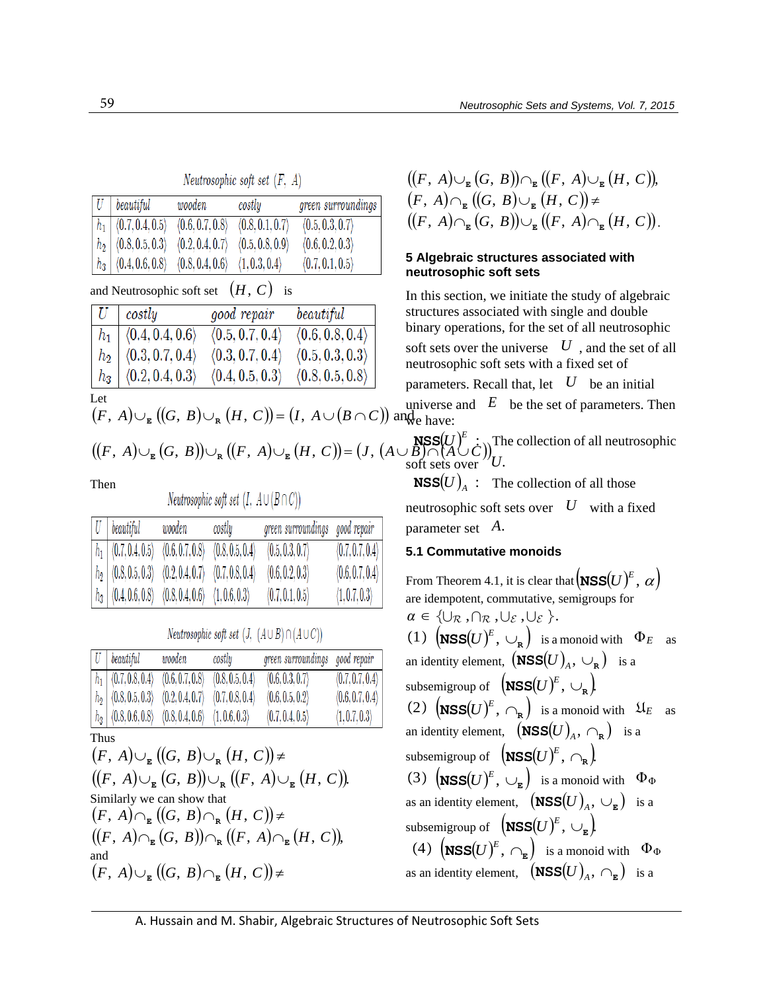# Neutrosophic soft set  $(F, A)$

| $ U $ beautiful                         | wooden          | costly          | green surroundings              |
|-----------------------------------------|-----------------|-----------------|---------------------------------|
| $ h_1 $ $\langle 0.7, 0.4, 0.5 \rangle$ | (0.6, 0.7, 0.8) | (0.8, 0.1, 0.7) | $\langle 0.5, 0.3, 0.7 \rangle$ |
| $h_2   \langle 0.8, 0.5, 0.3 \rangle$   | (0.2, 0.4, 0.7) | (0.5, 0.8, 0.9) | $\langle 0.6, 0.2, 0.3 \rangle$ |
| $h_3   \langle 0.4, 0.6, 0.8 \rangle$   | (0.8, 0.4, 0.6) | (1, 0.3, 0.4)   | (0.7, 0.1, 0.5)                 |

# and Neutrosophic soft set  $(H, C)$  is

|         | costly                          | good repair                                                                                    | be a util                       | structure |
|---------|---------------------------------|------------------------------------------------------------------------------------------------|---------------------------------|-----------|
| $h_1$   | $\langle 0.4, 0.4, 0.6 \rangle$ | (0.5, 0.7, 0.4)                                                                                | $\langle 0.6, 0.8, 0.4 \rangle$ | binary o  |
| $ h_2 $ | $\langle 0.3, 0.7, 0.4 \rangle$ | (0.3, 0.7, 0.4)                                                                                | (0.5, 0.3, 0.3)                 | soft sets |
| $h_3$   | (0.2, 0.4, 0.3)                 | (0.4, 0.5, 0.3)                                                                                | $\langle 0.8, 0.5, 0.8 \rangle$ | neutrosc  |
| Let     |                                 |                                                                                                |                                 | paramet   |
|         |                                 | $(F, A) \cup_{\mathbb{R}} ((G, B) \cup_{\mathbb{R}} (H, C)) = (I, A \cup (B \cap C))$ and have |                                 | universe  |
|         |                                 |                                                                                                |                                 |           |

## Let

$$
(A) \cup_{\mathbb{E}} ((G, B) \cup_{\mathbb{R}} (H, C)) = (I, A \cup (B \cap C)) \text{ and }
$$

# Then

# *Neutrosophic soft set*  $(I, A \cup (B \cap C))$

|  | $ U $ beautiful                         | wooden                              | costly          | green surroundings good repair |                 |
|--|-----------------------------------------|-------------------------------------|-----------------|--------------------------------|-----------------|
|  | $ h_1 $ $\langle 0.7, 0.4, 0.5 \rangle$ | $\langle 0.6, 0.7, 0.8 \rangle$     | (0.8, 0.5, 0.4) | (0.5, 0.3, 0.7)                | (0.7, 0.7, 0.4) |
|  | $h_2   \langle 0.8, 0.5, 0.3 \rangle$   | $(0.2, 0.4, 0.7)$ $(0.7, 0.8, 0.4)$ |                 | (0.6, 0.2, 0.3)                | (0.6, 0.7, 0.4) |
|  | $h_3   \langle 0.4, 0.6, 0.8 \rangle$   | $(0.8, 0.4, 0.6)$ $(1, 0.6, 0.3)$   |                 | (0.7, 0.1, 0.5)                | (1, 0.7, 0.3)   |

*Neutrosophic soft set*  $(J, (A \cup B) \cap (A \cup C))$ 

|  | $ U $ beautiful                       | wooden          | costly          | green surroundings good repair |                 |
|--|---------------------------------------|-----------------|-----------------|--------------------------------|-----------------|
|  | $h_1   \langle 0.7, 0.8, 0.4 \rangle$ | (0.6, 0.7, 0.8) | (0.8, 0.5, 0.4) | (0.6, 0.3, 0.7)                | (0.7, 0.7, 0.4) |
|  | $h_2   \langle 0.8, 0.5, 0.3 \rangle$ | (0.2, 0.4, 0.7) | (0.7, 0.8, 0.4) | (0.6, 0.5, 0.2)                | (0.6, 0.7, 0.4) |
|  | $h_3   \langle 0.8, 0.6, 0.8 \rangle$ | (0.8, 0.4, 0.6) | (1, 0.6, 0.3)   | (0.7, 0.4, 0.5)                | (1, 0.7, 0.3)   |

# Thus

$$
\begin{array}{ll}\n\frac{|h_3|}{\sqrt{0.8,0.8,0.8}} & \frac{(0.8,0.4,0.6)}{\sqrt{0.8,0.4,0.8}} & \frac{(0.7,0.4,0.5)}{\sqrt{0.7,0.4,0.5}} & \frac{(1,0.7,0.3)}{\sqrt{0.8,0.8}} \\
\text{Thus} \\
(F, A) \cup_{\mathbb{E}} ((G, B) \cup_{\mathbb{R}} (H, C)) \neq \\
((F, A) \cup_{\mathbb{E}} (G, B) \cup_{\mathbb{R}} ((F, A) \cup_{\mathbb{E}} (H, C)) \\
\text{Similarly we can show that} \\
(F, A) \cap_{\mathbb{E}} ((G, B) \cap_{\mathbb{R}} (H, C)) \neq \\
((F, A) \cap_{\mathbb{E}} (G, B) \cap_{\mathbb{R}} ((F, A) \cap_{\mathbb{E}} (H, C)) \\
\text{and} \\
(F, A) \cup_{\mathbb{E}} ((G, B) \cap_{\mathbb{E}} (H, C)) \neq \\
\end{array}
$$

$$
((F, A)\cup_{\mathbf{E}} (G, B))\cap_{\mathbf{E}} ((F, A)\cup_{\mathbf{E}} (H, C)),
$$
  
\n
$$
(F, A)\cap_{\mathbf{E}} ((G, B)\cup_{\mathbf{E}} (H, C)) \neq
$$
  
\n
$$
((F, A)\cap_{\mathbf{E}} (G, B))\cup_{\mathbf{E}} ((F, A)\cap_{\mathbf{E}} (H, C)).
$$

## **5 Algebraic structures associated with neutrosophic soft sets**

parameters. Recall that, let  $(F, A) \cup_{\mathbb{E}} ((G, B) \cup_{\mathbb{R}} (H, C)) = (I, A \cup (B \cap C))$  and  $\mathbb{E}$  be the set of universe and  $E$  be the set of universe and  $E$  be the set of universe and  $E$  be the set of universe and  $(F, A) \cup_{\mathbb$ In this section, we initiate the study of algebraic structures associated with single and double binary operations, for the set of all neutrosophic soft sets over the universe  $U$ , and the set of all neutrosophic soft sets with a fixed set of parameters. Recall that, let  $U$  be an initial universe and  $E$  be the set of parameters. Then we have:

 $\text{RSS}(U)^E$  : The collection of all neutrosophic soft sets over  $U$ .

**NSS** $(U)_A$  : The collection of all those neutrosophic soft sets over  $U$  with a fixed parameter set *A*.

# **5.1 Commutative monoids**

From Theorem 4.1, it is clear that  $\left(\texttt{NSS}(U)^E,\,\alpha\right)$ are idempotent, commutative, semigroups for  $\alpha \in \{\cup_{\mathcal{R}} ,\cap_{\mathcal{R}} ,\cup_{\mathcal{E}} ,\cup_{\mathcal{E}} \}$ .  $(1)$   $\left(\text{NSS}(U)^E, \cup_{\text{R}}\right)$  is a monoid with  $\Phi_E$  as an identity element,  $(\overrightarrow{\textbf{NSS}}(U)_{A}, \cup_{\textbf{R}})$  is a subsemigroup of  $\left( \text{NSS}(U)^E, \cup_{\mathbf{R}} \right)$  $(2)$   $(\text{NSS}(U)^E, \bigcap_{\mathbf{R}})$  is a monoid with  $\mathfrak{U}_E$  as an identity element,  $\left(\text{NSS}(U)_{A}, \bigcap_{\mathbf{R}}\right)$  is a subsemigroup of  $\left( \text{NSS}(U)^E, \bigcap_{\mathbf{R}} \right)$ (3)  $\left(\text{NSS}(U)^E, \cup_{\underline{\mathbf{E}}} \right)$  is a monoid with  $\Phi_{\Phi}$ as an identity element,  $\left( \text{NSS}(U)_{A}, \cup_{\mathbf{E}} \right)$  is a subsemigroup of  $\left( \text{NSS}(U)^E, \cup_{_{\text{E}}} \right)$ (4)  $\left(\text{NSS}(U)^E, \bigcap_{\mathbf{E}}\right)$  is a monoid with  $\Phi_{\Phi}$ as an identity element,  $\left( \text{NSS}(U)_{A}, \bigcap_{E} \right)$  is a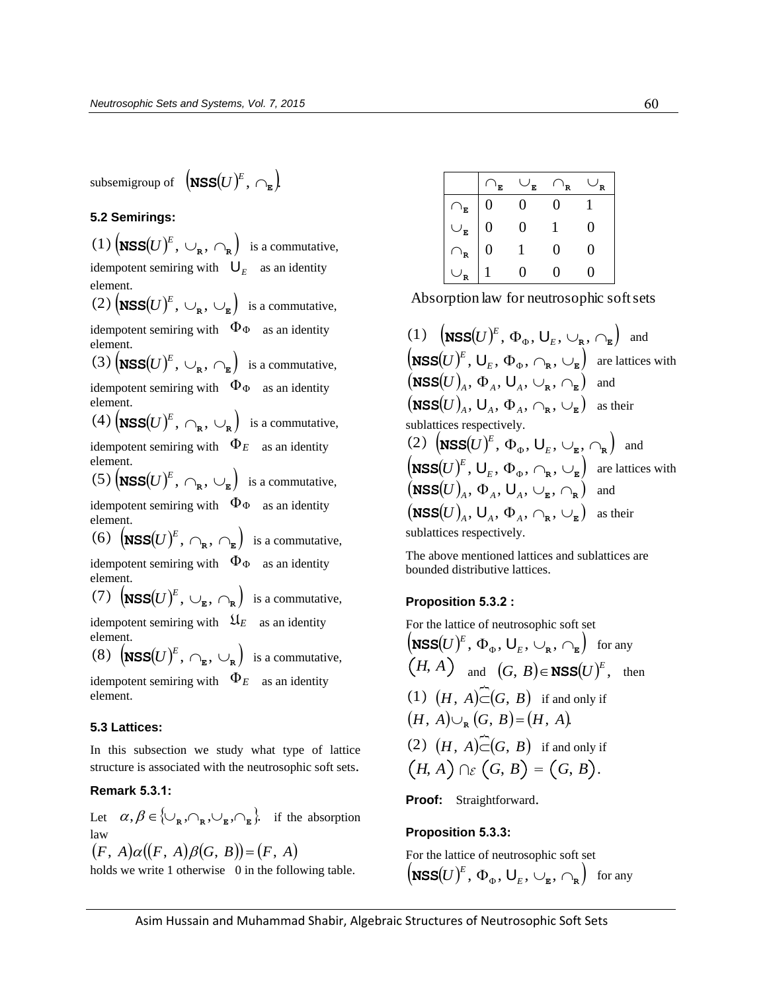subsemigroup of  $\left( \text{NSS}(U)^E, \bigcap_{\mathbf{E}} \right)$ 

**5.2 Semirings:** 

 $(1)$   $\left(\text{NSS}(U)^E, \cup_{\text{R}} , \cap_{\text{R}}\right)$  is a commutative, idempotent semiring with  $\mathbf{U}_E$  as an identity element.  $(2)$   $(\text{NSS}(U)^E, \cup_{\mathbb{R}} , \cup_{\mathbb{E}} )$  is a commutative, idempotent semiring with  $\Phi_{\Phi}$  as an identity element.  $(3)$   $(\text{NSS}(U)^E, \cup_{\text{R}} , \cap_{\text{E}})$  is a commutative, idempotent semiring with  $\Phi_{\Phi}$  as an identity element. (4)  $\left(\text{NSS}(U)^E, \bigcap_{\mathbf{R}} , \bigcup_{\mathbf{R}} \right)$  is a commutative, idempotent semiring with  $\Phi_E$  as an identity element.  $(5)$   $(\text{NSS}(U)^E, \bigcap_{\mathbf{R}} , \bigcup_{\mathbf{E}} )$  is a commutative, idempotent semiring with  $\Phi_{\Phi}$  as an identity element. (6)  $\left(\text{NSS}(U)^E, \bigcap_{\mathbf{R}} , \bigcap_{\mathbf{E}}\right)$  is a commutative, idempotent semiring with  $\Phi_{\Phi}$  as an identity element. (7)  $\left(\text{NSS}(U)^E, \cup_{\mathbf{E}} , \cap_{\mathbf{R}}\right)$  is a commutative, idempotent semiring with  $\mathfrak{U}_E$  as an identity element. (8)  $\left(\text{NSS}(U)^E, \bigcap_{\mathbf{E}} \cup_{\mathbf{R}}\right)$  is a commutative, idempotent semiring with  $\Phi_E$  as an identity element. **5.3 Lattices:** In this subsection we study what type of lattice structure is associated with the neutrosophic soft sets.

## **Remark 5.3.1:**

Let  $\alpha, \beta \in \{\cup_{\mathbb{R}}, \cap_{\mathbb{R}}, \cup_{\mathbb{E}}, \cap_{\mathbb{E}}\}$  if the absorption law  $\alpha$ ,  $\beta$   $\in$  ( $\circ$ <sub>R</sub>,  $\circ$ <sub>R</sub>,  $\circ$ <sub>R</sub>,  $\circ$ <sub>R</sub>,  $\circ$ <sub>R</sub>,  $\circ$ <sub>R</sub>,  $\circ$ <sub>R</sub>,  $\circ$ <sub>R</sub>,  $\circ$ <sub>R</sub>,  $\circ$ <sub>R</sub>,  $\circ$ <sub>R</sub>,  $\circ$ <sub>R</sub>,  $\circ$ <sub>R</sub>,  $\circ$ <sub>R</sub>,  $\circ$ <sub>R</sub>,  $\circ$ <sub>R</sub>,  $\circ$ <sub>R</sub>,  $\circ$ <sub>R</sub>,  $\circ$ <sub>R</sub>,  $\circ$ <sub>R</sub>,  $\circ$ <sub>R</sub>,  $\circ$ <sub>R</sub>,  $\circ$ <sub></sub>

holds we write 1 otherwise 0 in the following table.

|               | F.             | F. | 'R |  |
|---------------|----------------|----|----|--|
| E             |                |    |    |  |
| $\mathbf{r}$  | $\overline{0}$ |    |    |  |
| $\sim$ 1<br>R | 0              |    | 0  |  |
|               |                |    |    |  |

Absorption law for neutrosophic soft sets

 $(1)$   $\left(\text{NSS}(U)^{E}, \Phi_{\Phi}, \bigcup_{E}, \bigcup_{\mathbf{R}}, \bigcap_{\mathbf{E}}\right)$  and  $(\mathbf{NSS}(U)^E, \Phi_{\Phi}, \mathbf{U}_E, \cup_{\mathbf{R}}, \cap_{\mathbf{E}})$  and<br>  $(\mathbf{NSS}(U)^E, \mathbf{U}_E, \Phi_{\Phi}, \cap_{\mathbf{R}}, \cup_{\mathbf{E}})$  are lattices with  $\left(\text{NSS}(U)^E, \mathsf{U}_E, \Phi_{\Phi}, \bigcap_{\mathbf{R}}, \bigcup_{\mathbf{E}}\right)$  are l<br>  $\left(\text{NSS}(U)_A, \Phi_A, \mathsf{U}_A, \bigcup_{\mathbf{R}}, \bigcap_{\mathbf{E}}\right)$  and  $\left(\text{NSS}(U)_A, \Phi_A, \bigcup_A, \bigcup_{\mathbf{R}}, \bigcap_{\mathbf{E}}\right)$  and<br>  $\left(\text{NSS}(U)_A, \bigcup_A, \Phi_A, \bigcap_{\mathbf{R}}, \bigcup_{\mathbf{E}}\right)$  as their sublattices respectively. sublattices respectively.<br>
(2)  $\left(\text{NSS}(U)^E, \Phi_{\Phi}, \bigcup_{E}, \bigcup_{\mathbf{E}, \bigcirc \mathbf{R}}\right)$  and  $(2)$   $(\text{NSS}(U)^E, \Phi_{\Phi}, \bigcup_{E}, \bigcup_{\mathbf{E}}, \bigcap_{\mathbf{R}}\}$  and  $(\text{NSS}(U)^E, \bigcup_{E}, \Phi_{\Phi}, \bigcap_{\mathbf{R}}, \bigcup_{\mathbf{E}}\})$  are lattices with  $\left(\text{NSS}(U)^E, \mathsf{U}_E, \Phi_{\Phi}, \bigcap_{\mathbf{R}}, \bigcup_{\mathbf{E}}\right)$  are l<br>  $\left(\text{NSS}(U)_A, \Phi_A, \mathsf{U}_A, \bigcup_{\mathbf{E}}, \bigcap_{\mathbf{R}}\right)$  and  $\left(\text{NSS}(U)_A, \Phi_A, \bigcup_A, \bigcup_{\mathbf{E}}, \bigcap_{\mathbf{R}}\right)$  and<br>  $\left(\text{NSS}(U)_A, \bigcup_A, \Phi_A, \bigcap_{\mathbf{R}}, \bigcup_{\mathbf{E}}\right)$  as their sublattices respectively.

The above mentioned lattices and sublattices are bounded distributive lattices.

## **Proposition 5.3.2 :**

For the lattice of neutrosophic soft set  
\n
$$
(\mathbf{NSS}(U)^E, \Phi_{\Phi}, \bigcup_{E}, \bigcup_{\mathbf{R}}, \bigcap_{\mathbf{E}} \text{ for any}
$$
\n
$$
(H, A) \quad \text{and} \quad (G, B) \in \mathbf{NSS}(U)^E, \text{ then}
$$
\n
$$
(1) \quad (H, A) \circ \circ (G, B) \text{ if and only if}
$$
\n
$$
(H, A) \cup_{\mathbf{R}} (G, B) = (H, A).
$$
\n
$$
(2) \quad (H, A) \circ \circ (G, B) \text{ if and only if}
$$
\n
$$
(H, A) \cap \circ (G, B) = (G, B).
$$

**Proof:** Straightforward.

# **Proposition 5.3.3:**

For the lattice of neutrosophic soft set  

$$
\left(\text{NSS}(U)^E, \Phi_{\Phi}, \bigcup_{E}, \bigcup_{\mathbf{E}}, \bigcap_{\mathbf{R}}\right)
$$
 for any